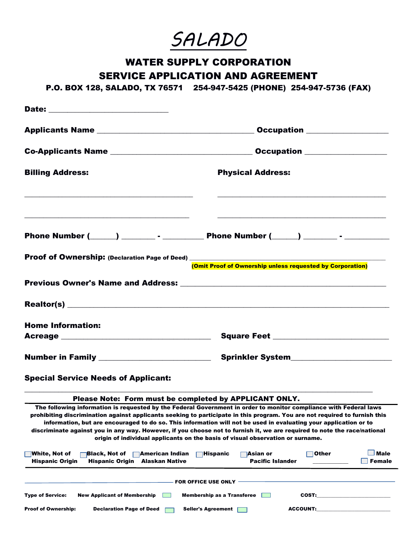*SALADO*

# WATER SUPPLY CORPORATION SERVICE APPLICATION AND AGREEMENT

P.O. BOX 128, SALADO, TX 76571 254-947-5425 (PHONE) 254-947-5736 (FAX)

|                                                                                                                                         | Occupation _________________                                                                                                                                                                                                                                                                                                                                                                                                                                                                                                                                                      |
|-----------------------------------------------------------------------------------------------------------------------------------------|-----------------------------------------------------------------------------------------------------------------------------------------------------------------------------------------------------------------------------------------------------------------------------------------------------------------------------------------------------------------------------------------------------------------------------------------------------------------------------------------------------------------------------------------------------------------------------------|
|                                                                                                                                         |                                                                                                                                                                                                                                                                                                                                                                                                                                                                                                                                                                                   |
| <b>Billing Address:</b>                                                                                                                 | <b>Physical Address:</b>                                                                                                                                                                                                                                                                                                                                                                                                                                                                                                                                                          |
|                                                                                                                                         |                                                                                                                                                                                                                                                                                                                                                                                                                                                                                                                                                                                   |
|                                                                                                                                         | Proof of Ownership: (Declaration Page of Deed) __________________________________<br>(Omit Proof of Ownership unless requested by Corporation)                                                                                                                                                                                                                                                                                                                                                                                                                                    |
|                                                                                                                                         |                                                                                                                                                                                                                                                                                                                                                                                                                                                                                                                                                                                   |
|                                                                                                                                         |                                                                                                                                                                                                                                                                                                                                                                                                                                                                                                                                                                                   |
| <b>Home Information:</b>                                                                                                                |                                                                                                                                                                                                                                                                                                                                                                                                                                                                                                                                                                                   |
|                                                                                                                                         | Square Feet ______________________________                                                                                                                                                                                                                                                                                                                                                                                                                                                                                                                                        |
| Number in Family ___________________________                                                                                            | Sprinkler System________________________                                                                                                                                                                                                                                                                                                                                                                                                                                                                                                                                          |
| <b>Special Service Needs of Applicant:</b>                                                                                              |                                                                                                                                                                                                                                                                                                                                                                                                                                                                                                                                                                                   |
| Please Note: Form must be completed by APPLICANT ONLY.                                                                                  |                                                                                                                                                                                                                                                                                                                                                                                                                                                                                                                                                                                   |
|                                                                                                                                         | The following information is requested by the Federal Government in order to monitor compliance with Federal laws<br>prohibiting discrimination against applicants seeking to participate in this program. You are not required to furnish this<br>information, but are encouraged to do so. This information will not be used in evaluating your application or to<br>discriminate against you in any way. However, if you choose not to furnish it, we are required to note the race/national<br>origin of individual applicants on the basis of visual observation or surname. |
| <b>White, Not of</b><br>∣Black, Not of<br>∏American Indian<br><b>Hispanic Origin</b><br><b>Alaskan Native</b><br><b>Hispanic Origin</b> | <b>Male</b><br>Other<br>$\Box$ Hispanic<br>⊺Asian or<br><b>Pacific Islander</b><br><b>Female</b>                                                                                                                                                                                                                                                                                                                                                                                                                                                                                  |
|                                                                                                                                         | <b>FOR OFFICE USE ONLY</b>                                                                                                                                                                                                                                                                                                                                                                                                                                                                                                                                                        |
| <b>Type of Service:</b><br><b>New Applicant of Membership</b>                                                                           | <b>Membership as a Transferee</b><br>COST:                                                                                                                                                                                                                                                                                                                                                                                                                                                                                                                                        |
| <b>Proof of Ownership:</b><br><b>Declaration Page of Deed</b>                                                                           | <b>ACCOUNT:</b><br>Seller's Agreement                                                                                                                                                                                                                                                                                                                                                                                                                                                                                                                                             |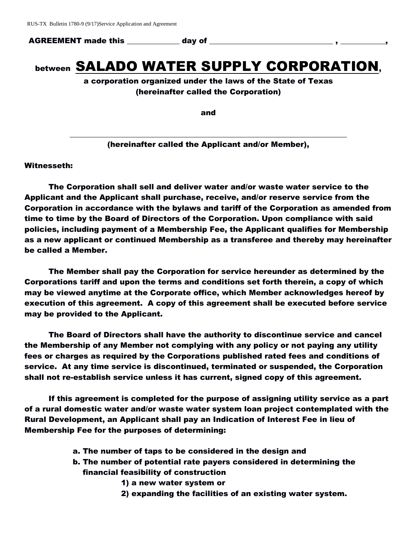AGREEMENT made this The day of

# between SALADO WATER SUPPLY CORPORATION,

a corporation organized under the laws of the State of Texas (hereinafter called the Corporation)

and

\_\_\_\_\_\_\_\_\_\_\_\_\_\_\_\_\_\_\_\_\_\_\_\_\_\_\_\_\_\_\_\_\_\_\_\_\_\_\_\_\_\_\_\_\_\_\_\_\_\_\_\_\_\_\_\_\_\_\_\_\_\_\_\_\_\_\_\_\_\_\_\_\_\_ (hereinafter called the Applicant and/or Member),

Witnesseth:

The Corporation shall sell and deliver water and/or waste water service to the Applicant and the Applicant shall purchase, receive, and/or reserve service from the Corporation in accordance with the bylaws and tariff of the Corporation as amended from time to time by the Board of Directors of the Corporation. Upon compliance with said policies, including payment of a Membership Fee, the Applicant qualifies for Membership as a new applicant or continued Membership as a transferee and thereby may hereinafter be called a Member.

The Member shall pay the Corporation for service hereunder as determined by the Corporations tariff and upon the terms and conditions set forth therein, a copy of which may be viewed anytime at the Corporate office, which Member acknowledges hereof by execution of this agreement. A copy of this agreement shall be executed before service may be provided to the Applicant.

The Board of Directors shall have the authority to discontinue service and cancel the Membership of any Member not complying with any policy or not paying any utility fees or charges as required by the Corporations published rated fees and conditions of service. At any time service is discontinued, terminated or suspended, the Corporation shall not re-establish service unless it has current, signed copy of this agreement.

If this agreement is completed for the purpose of assigning utility service as a part of a rural domestic water and/or waste water system loan project contemplated with the Rural Development, an Applicant shall pay an Indication of Interest Fee in lieu of Membership Fee for the purposes of determining:

- a. The number of taps to be considered in the design and
- b. The number of potential rate payers considered in determining the financial feasibility of construction
	- 1) a new water system or
	- 2) expanding the facilities of an existing water system.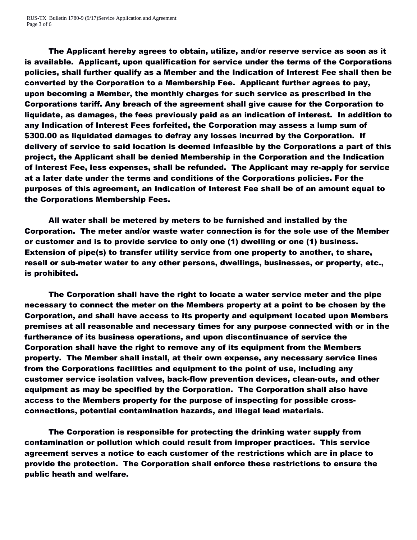The Applicant hereby agrees to obtain, utilize, and/or reserve service as soon as it is available. Applicant, upon qualification for service under the terms of the Corporations policies, shall further qualify as a Member and the Indication of Interest Fee shall then be converted by the Corporation to a Membership Fee. Applicant further agrees to pay, upon becoming a Member, the monthly charges for such service as prescribed in the Corporations tariff. Any breach of the agreement shall give cause for the Corporation to liquidate, as damages, the fees previously paid as an indication of interest. In addition to any Indication of Interest Fees forfeited, the Corporation may assess a lump sum of \$300.00 as liquidated damages to defray any losses incurred by the Corporation. If delivery of service to said location is deemed infeasible by the Corporations a part of this project, the Applicant shall be denied Membership in the Corporation and the Indication of Interest Fee, less expenses, shall be refunded. The Applicant may re-apply for service at a later date under the terms and conditions of the Corporations policies. For the purposes of this agreement, an Indication of Interest Fee shall be of an amount equal to the Corporations Membership Fees.

All water shall be metered by meters to be furnished and installed by the Corporation. The meter and/or waste water connection is for the sole use of the Member or customer and is to provide service to only one (1) dwelling or one (1) business. Extension of pipe(s) to transfer utility service from one property to another, to share, resell or sub-meter water to any other persons, dwellings, businesses, or property, etc., is prohibited.

The Corporation shall have the right to locate a water service meter and the pipe necessary to connect the meter on the Members property at a point to be chosen by the Corporation, and shall have access to its property and equipment located upon Members premises at all reasonable and necessary times for any purpose connected with or in the furtherance of its business operations, and upon discontinuance of service the Corporation shall have the right to remove any of its equipment from the Members property. The Member shall install, at their own expense, any necessary service lines from the Corporations facilities and equipment to the point of use, including any customer service isolation valves, back-flow prevention devices, clean-outs, and other equipment as may be specified by the Corporation. The Corporation shall also have access to the Members property for the purpose of inspecting for possible crossconnections, potential contamination hazards, and illegal lead materials.

The Corporation is responsible for protecting the drinking water supply from contamination or pollution which could result from improper practices. This service agreement serves a notice to each customer of the restrictions which are in place to provide the protection. The Corporation shall enforce these restrictions to ensure the public heath and welfare.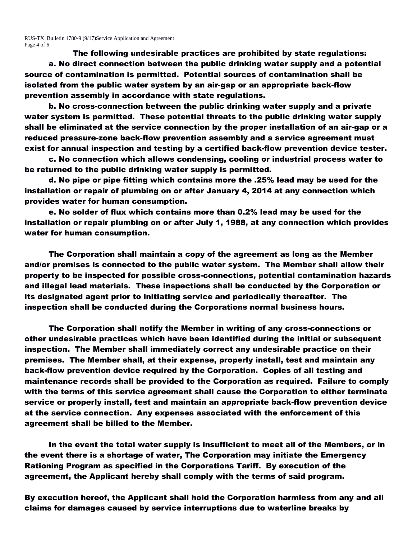RUS-TX Bulletin 1780-9 (9/17)Service Application and Agreement Page 4 of 6

The following undesirable practices are prohibited by state regulations:

a. No direct connection between the public drinking water supply and a potential source of contamination is permitted. Potential sources of contamination shall be isolated from the public water system by an air-gap or an appropriate back-flow prevention assembly in accordance with state regulations.

b. No cross-connection between the public drinking water supply and a private water system is permitted. These potential threats to the public drinking water supply shall be eliminated at the service connection by the proper installation of an air-gap or a reduced pressure-zone back-flow prevention assembly and a service agreement must exist for annual inspection and testing by a certified back-flow prevention device tester.

c. No connection which allows condensing, cooling or industrial process water to be returned to the public drinking water supply is permitted.

d. No pipe or pipe fitting which contains more the .25% lead may be used for the installation or repair of plumbing on or after January 4, 2014 at any connection which provides water for human consumption.

e. No solder of flux which contains more than 0.2% lead may be used for the installation or repair plumbing on or after July 1, 1988, at any connection which provides water for human consumption.

The Corporation shall maintain a copy of the agreement as long as the Member and/or premises is connected to the public water system. The Member shall allow their property to be inspected for possible cross-connections, potential contamination hazards and illegal lead materials. These inspections shall be conducted by the Corporation or its designated agent prior to initiating service and periodically thereafter. The inspection shall be conducted during the Corporations normal business hours.

The Corporation shall notify the Member in writing of any cross-connections or other undesirable practices which have been identified during the initial or subsequent inspection. The Member shall immediately correct any undesirable practice on their premises. The Member shall, at their expense, properly install, test and maintain any back-flow prevention device required by the Corporation. Copies of all testing and maintenance records shall be provided to the Corporation as required. Failure to comply with the terms of this service agreement shall cause the Corporation to either terminate service or properly install, test and maintain an appropriate back-flow prevention device at the service connection. Any expenses associated with the enforcement of this agreement shall be billed to the Member.

In the event the total water supply is insufficient to meet all of the Members, or in the event there is a shortage of water, The Corporation may initiate the Emergency Rationing Program as specified in the Corporations Tariff. By execution of the agreement, the Applicant hereby shall comply with the terms of said program.

By execution hereof, the Applicant shall hold the Corporation harmless from any and all claims for damages caused by service interruptions due to waterline breaks by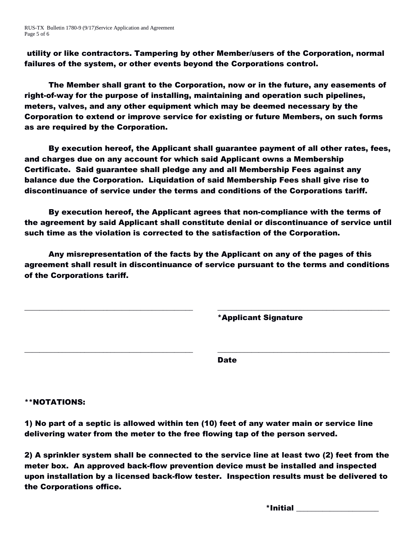RUS-TX Bulletin 1780-9 (9/17)Service Application and Agreement Page 5 of 6

utility or like contractors. Tampering by other Member/users of the Corporation, normal failures of the system, or other events beyond the Corporations control.

The Member shall grant to the Corporation, now or in the future, any easements of right-of-way for the purpose of installing, maintaining and operation such pipelines, meters, valves, and any other equipment which may be deemed necessary by the Corporation to extend or improve service for existing or future Members, on such forms as are required by the Corporation.

By execution hereof, the Applicant shall guarantee payment of all other rates, fees, and charges due on any account for which said Applicant owns a Membership Certificate. Said guarantee shall pledge any and all Membership Fees against any balance due the Corporation. Liquidation of said Membership Fees shall give rise to discontinuance of service under the terms and conditions of the Corporations tariff.

By execution hereof, the Applicant agrees that non-compliance with the terms of the agreement by said Applicant shall constitute denial or discontinuance of service until such time as the violation is corrected to the satisfaction of the Corporation.

Any misrepresentation of the facts by the Applicant on any of the pages of this agreement shall result in discontinuance of service pursuant to the terms and conditions of the Corporations tariff.

\_\_\_\_\_\_\_\_\_\_\_\_\_\_\_\_\_\_\_\_\_\_\_\_\_\_\_\_\_\_\_\_\_\_\_\_\_\_\_\_\_\_\_\_\_ \_\_\_\_\_\_\_\_\_\_\_\_\_\_\_\_\_\_\_\_\_\_\_\_\_\_\_\_\_\_\_\_\_\_\_\_\_\_\_\_\_\_\_\_\_\_

\_\_\_\_\_\_\_\_\_\_\_\_\_\_\_\_\_\_\_\_\_\_\_\_\_\_\_\_\_\_\_\_\_\_\_\_\_\_\_\_\_\_\_\_\_ \_\_\_\_\_\_\_\_\_\_\_\_\_\_\_\_\_\_\_\_\_\_\_\_\_\_\_\_\_\_\_\_\_\_\_\_\_\_\_\_\_\_\_\_\_\_

\*Applicant Signature

Date

### \*\*NOTATIONS:

1) No part of a septic is allowed within ten (10) feet of any water main or service line delivering water from the meter to the free flowing tap of the person served.

2) A sprinkler system shall be connected to the service line at least two (2) feet from the meter box. An approved back-flow prevention device must be installed and inspected upon installation by a licensed back-flow tester. Inspection results must be delivered to the Corporations office.

 $^*$ Initial  $^-$